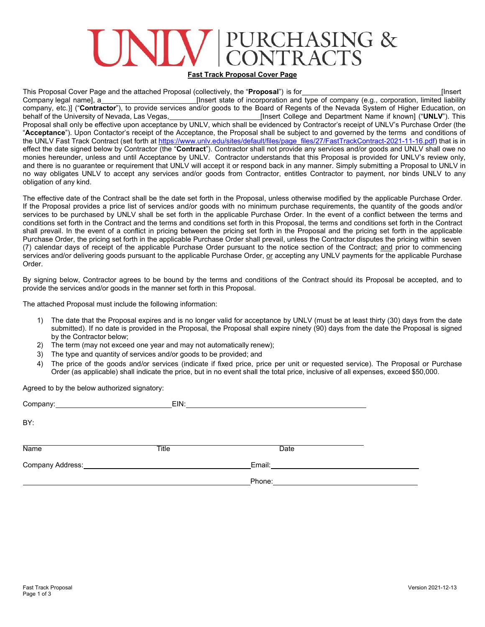# JRCHASING &<br>DNTRACTS

### **Fast Track Proposal Cover Page**

This Proposal Cover Page and the attached Proposal (collectively, the "**Proposal**") is for [Insert Company legal name], a **company is a contract of incorporation** and type of company (e.g., corporation, limited liability company, etc.)] ("**Contractor**"), to provide services and/or goods to the Board of Regents of the Nevada System of Higher Education, on [Insert College and Department Name if known] ("UNLV"). This Proposal shall only be effective upon acceptance by UNLV, which shall be evidenced by Contractor's receipt of UNLV's Purchase Order (the "**Acceptance**"). Upon Contactor's receipt of the Acceptance, the Proposal shall be subject to and governed by the terms and conditions of the UNLV Fast Track Contract (set forth at [https://www.unlv.edu/sites/default/files/page\\_files/27/FastTrackContract-2021-11-16.pdf\)](https://www.unlv.edu/sites/default/files/page_files/27/FastTrackContract-2021-11-16.pdf) that is in effect the date signed below by Contractor (the "**Contract**"). Contractor shall not provide any services and/or goods and UNLV shall owe no monies hereunder, unless and until Acceptance by UNLV. Contractor understands that this Proposal is provided for UNLV's review only, and there is no guarantee or requirement that UNLV will accept it or respond back in any manner. Simply submitting a Proposal to UNLV in no way obligates UNLV to accept any services and/or goods from Contractor, entitles Contractor to payment, nor binds UNLV to any obligation of any kind.

The effective date of the Contract shall be the date set forth in the Proposal, unless otherwise modified by the applicable Purchase Order. If the Proposal provides a price list of services and/or goods with no minimum purchase requirements, the quantity of the goods and/or services to be purchased by UNLV shall be set forth in the applicable Purchase Order. In the event of a conflict between the terms and conditions set forth in the Contract and the terms and conditions set forth in this Proposal, the terms and conditions set forth in the Contract shall prevail. In the event of a conflict in pricing between the pricing set forth in the Proposal and the pricing set forth in the applicable Purchase Order, the pricing set forth in the applicable Purchase Order shall prevail, unless the Contractor disputes the pricing within seven (7) calendar days of receipt of the applicable Purchase Order pursuant to the notice section of the Contract; and prior to commencing services and/or delivering goods pursuant to the applicable Purchase Order, or accepting any UNLV payments for the applicable Purchase Order.

By signing below, Contractor agrees to be bound by the terms and conditions of the Contract should its Proposal be accepted, and to provide the services and/or goods in the manner set forth in this Proposal.

The attached Proposal must include the following information:

- 1) The date that the Proposal expires and is no longer valid for acceptance by UNLV (must be at least thirty (30) days from the date submitted). If no date is provided in the Proposal, the Proposal shall expire ninety (90) days from the date the Proposal is signed by the Contractor below;
- 2) The term (may not exceed one year and may not automatically renew);
- 3) The type and quantity of services and/or goods to be provided; and
- 4) The price of the goods and/or services (indicate if fixed price, price per unit or requested service). The Proposal or Purchase Order (as applicable) shall indicate the price, but in no event shall the total price, inclusive of all expenses, exceed \$50,000.

Agreed to by the below authorized signatory:

|             |       | EIN: <b>EIN: EIN: EIN: EIN: EIN: EIN: EIN: EIN: EIN: EIN: EIN: EIN: EIN: EIN: EIN: EIN: EIN: EIN: EIN: EIN: EIN: EIN: EIN: EIN: EIN: EIN: EIN: EIN: EIN: EIN: EIN:</b>                                                         |  |
|-------------|-------|--------------------------------------------------------------------------------------------------------------------------------------------------------------------------------------------------------------------------------|--|
| BY:         |       |                                                                                                                                                                                                                                |  |
| <b>Name</b> | Title | Date                                                                                                                                                                                                                           |  |
|             |       | Email: Email: All Annual Secretary and All Annual Secretary and All Annual Secretary and All Annual Secretary and All Annual Secretary and All Annual Secretary and All Annual Secretary and All Annual Secretary and All Annu |  |
|             |       | Phone:                                                                                                                                                                                                                         |  |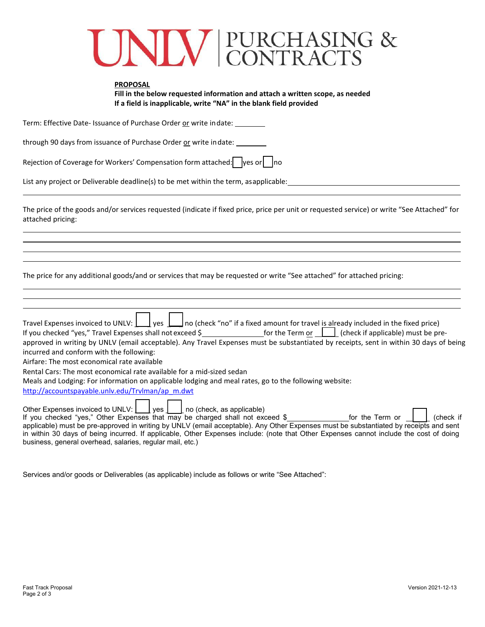## UNIV PURCHASING &

| <b>PROPOSAL</b>                                                                                                                                                                                                                                                                                                                                                                                                                                                                           |
|-------------------------------------------------------------------------------------------------------------------------------------------------------------------------------------------------------------------------------------------------------------------------------------------------------------------------------------------------------------------------------------------------------------------------------------------------------------------------------------------|
| Fill in the below requested information and attach a written scope, as needed                                                                                                                                                                                                                                                                                                                                                                                                             |
| If a field is inapplicable, write "NA" in the blank field provided                                                                                                                                                                                                                                                                                                                                                                                                                        |
| Term: Effective Date- Issuance of Purchase Order or write indate: _______                                                                                                                                                                                                                                                                                                                                                                                                                 |
| through 90 days from issuance of Purchase Order or write indate:                                                                                                                                                                                                                                                                                                                                                                                                                          |
| Rejection of Coverage for Workers' Compensation form attached:   yes or     no                                                                                                                                                                                                                                                                                                                                                                                                            |
| List any project or Deliverable deadline(s) to be met within the term, asapplicable: Latter and the state of the state of the state of the state of the state of the state of the state of the state of the state of the state                                                                                                                                                                                                                                                            |
| The price of the goods and/or services requested (indicate if fixed price, price per unit or requested service) or write "See Attached" for<br>attached pricing:                                                                                                                                                                                                                                                                                                                          |
| The price for any additional goods/and or services that may be requested or write "See attached" for attached pricing:                                                                                                                                                                                                                                                                                                                                                                    |
| Travel Expenses invoiced to UNLV: $\boxed{\underline{\hspace{1cm}}}$ yes $\boxed{\phantom{\frac{1}{1}}}$ no (check "no" if a fixed amount for travel is already included in the fixed price)<br>If you checked "yes," Travel Expenses shall not exceed \$  for the Term or $\Box$ (check if applicable) must be pre-                                                                                                                                                                      |
| approved in writing by UNLV (email acceptable). Any Travel Expenses must be substantiated by receipts, sent in within 30 days of being<br>incurred and conform with the following:<br>Airfare: The most economical rate available                                                                                                                                                                                                                                                         |
| Rental Cars: The most economical rate available for a mid-sized sedan                                                                                                                                                                                                                                                                                                                                                                                                                     |
| Meals and Lodging: For information on applicable lodging and meal rates, go to the following website:                                                                                                                                                                                                                                                                                                                                                                                     |
| http://accountspayable.unlv.edu/Trvlman/ap m.dwt                                                                                                                                                                                                                                                                                                                                                                                                                                          |
| Other Expenses invoiced to UNLV:     yes  <br>no (check, as applicable)<br>If you checked "yes," Other Expenses that may be charged shall not exceed \$___________________for the Term or<br>(check if<br>applicable) must be pre-approved in writing by UNLV (email acceptable). Any Other Expenses must be substantiated by receipts and sent<br>in within 30 days of being incurred. If applicable, Other Expenses include: (note that Other Expenses cannot include the cost of doing |

Services and/or goods or Deliverables (as applicable) include as follows or write "See Attached":

business, general overhead, salaries, regular mail, etc.)